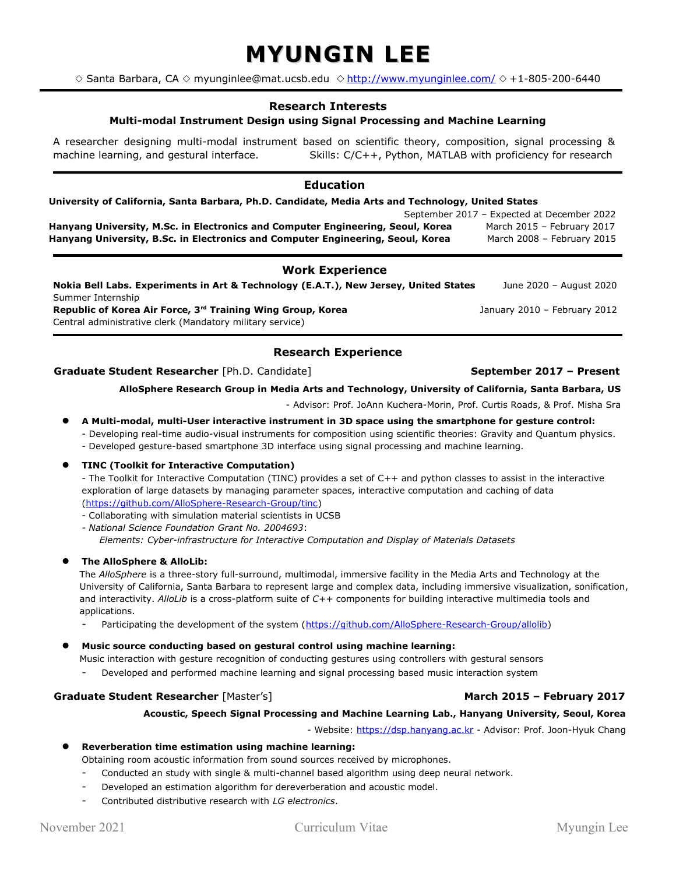# **MYUNGIN LEE**

 $\diamond$  Santa Barbara, CA  $\diamond$  myunginlee@mat.ucsb.edu  $\diamond$  <http://www.myunginlee.com/> $\diamond$ +1-805-200-6440

# **Research Interests**

# **Multi-modal Instrument Design using Signal Processing and Machine Learning**

A researcher designing multi-modal instrument based on scientific theory, composition, signal processing & machine learning, and gestural interface. Skills: C/C++, Python, MATLAB with proficiency for research

# **Education**

# **University of California, Santa Barbara, Ph.D. Candidate, Media Arts and Technology, United States**

September 2017 – Expected at December 2022 **Hanyang University, M.Sc. in Electronics and Computer Engineering, Seoul, Korea March 2015 - February 2017 Hanyang University, B.Sc. in Electronics and Computer Engineering, Seoul, Korea** March 2008 - February 2015

# **Work Experience**

**Nokia Bell Labs. Experiments in Art & Technology (E.A.T.), New Jersey, United States** June 2020 – August 2020 Summer Internship **Republic of Korea Air Force, 3rd Training Wing Group, Korea** January 2010 – February 2012 Central administrative clerk (Mandatory military service)

# **Research Experience**

# **Graduate Student Researcher** [Ph.D. Candidate] **September 2017 – Present**

### **AlloSphere Research Group in Media Arts and Technology, University of California, Santa Barbara, US**

- Advisor: Prof. JoAnn Kuchera-Morin, Prof. Curtis Roads, & Prof. Misha Sra

- **A Multi-modal, multi-User interactive instrument in 3D space using the smartphone for gesture control:** - Developing real-time audio-visual instruments for composition using scientific theories: Gravity and Quantum physics.
	- Developed gesture-based smartphone 3D interface using signal processing and machine learning*.*

# **TINC (Toolkit for Interactive Computation)**

- The Toolkit for Interactive Computation (TINC) provides a set of C++ and python classes to assist in the interactive exploration of large datasets by managing parameter spaces, interactive computation and caching of data [\(https://github.com/AlloSphere-Research-Group/tinc\)](https://github.com/AlloSphere-Research-Group/tinc)

- Collaborating with simulation material scientists in UCSB
- *National Science Foundation Grant No. 2004693*: *Elements: Cyber-infrastructure for Interactive Computation and Display of Materials Datasets*

#### **The AlloSphere & AlloLib:**

The *AlloSphere* is a three-story full-surround, multimodal, immersive facility in the Media Arts and Technology at the University of California, Santa Barbara to represent large and complex data, including immersive visualization, sonification, and interactivity. *AlloLib* is a cross-platform suite of *C++* components for building interactive multimedia tools and applications.

Participating the development of the system [\(https://github.com/AlloSphere-Research-Group/allolib\)](https://github.com/AlloSphere-Research-Group/allolib)

# **Music source conducting based on gestural control using machine learning:**

Music interaction with gesture recognition of conducting gestures using controllers with gestural sensors Developed and performed machine learning and signal processing based music interaction system

#### **Graduate Student Researcher** [Master's] **March 2015 – February 2017**

#### **Acoustic, Speech Signal Processing and Machine Learning Lab., Hanyang University, Seoul, Korea**

- Website: [https://dsp.hanyang.ac.kr](https://dsp.hanyang.ac.kr/) - Advisor: Prof. Joon-Hyuk Chang

|  |  | Reverberation time estimation using machine learning: |  |  |  |  |  |
|--|--|-------------------------------------------------------|--|--|--|--|--|
|--|--|-------------------------------------------------------|--|--|--|--|--|

- Obtaining room acoustic information from sound sources received by microphones.
- Conducted an study with single & multi-channel based algorithm using deep neural network.
- Developed an estimation algorithm for dereverberation and acoustic model.
- Contributed distributive research with *LG electronics*.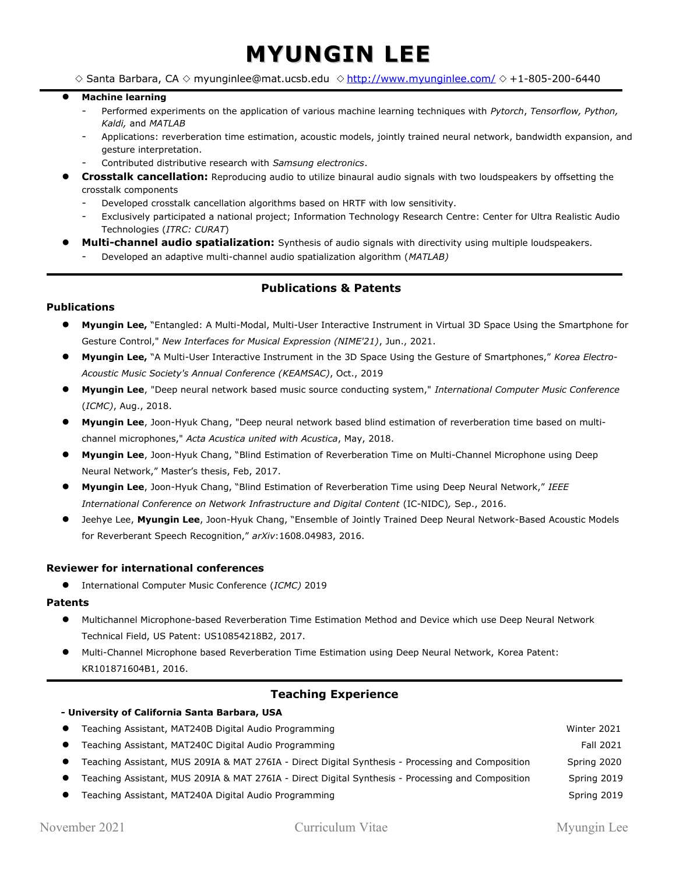# **MYUNGIN LEE**

 $\diamond$  Santa Barbara, CA  $\diamond$  myunginlee@mat.ucsb.edu  $\diamond$  <http://www.myunginlee.com/>  $\diamond$  +1-805-200-6440

#### **Machine learning**

- Performed experiments on the application of various machine learning techniques with *Pytorch*, *Tensorflow, Python, Kaldi,* and *MATLAB*
- Applications: reverberation time estimation, acoustic models, jointly trained neural network, bandwidth expansion, and gesture interpretation.
- Contributed distributive research with *Samsung electronics*.
- **Crosstalk cancellation:** Reproducing audio to utilize binaural audio signals with two loudspeakers by offsetting the crosstalk components
	- Developed crosstalk cancellation algorithms based on HRTF with low sensitivity.
	- Exclusively participated a national project; Information Technology Research Centre: Center for Ultra Realistic Audio Technologies (*ITRC: CURAT*)
- **Multi-channel audio spatialization:** Synthesis of audio signals with directivity using multiple loudspeakers.
	- Developed an adaptive multi-channel audio spatialization algorithm (*MATLAB)*

# **Publications & Patents**

# **Publications**

- **Myungin Lee,** "Entangled: A Multi-Modal, Multi-User Interactive Instrument in Virtual 3D Space Using the Smartphone for Gesture Control," *New Interfaces for Musical Expression (NIME'21)*, Jun., 2021.
- **Myungin Lee,** "A Multi-User Interactive Instrument in the 3D Space Using the Gesture of Smartphones," *Korea Electro-Acoustic Music Society's Annual Conference (KEAMSAC)*, Oct., 2019
- **Myungin Lee**, "Deep neural network based music source conducting system," *International Computer Music Conference* (*ICMC)*, Aug., 2018.
- **Myungin Lee**, Joon-Hyuk Chang, "Deep neural network based blind estimation of reverberation time based on multichannel microphones," *Acta Acustica united with Acustica*, May, 2018.
- **Myungin Lee**, Joon-Hyuk Chang, "Blind Estimation of Reverberation Time on Multi-Channel Microphone using Deep Neural Network," Master's thesis, Feb, 2017.
- **Myungin Lee**, Joon-Hyuk Chang, "Blind Estimation of Reverberation Time using Deep Neural Network," *IEEE International Conference on Network Infrastructure and Digital Content* (IC-NIDC)*,* Sep., 2016.
- Jeehye Lee, **Myungin Lee**, Joon-Hyuk Chang, "Ensemble of Jointly Trained Deep Neural Network-Based Acoustic Models for Reverberant Speech Recognition," *arXiv*:1608.04983, 2016.

# **Reviewer for international conferences**

 **- University of California Santa Barbara, USA**

International Computer Music Conference (*ICMC)* 2019

# **Patents**

- Multichannel Microphone-based Reverberation Time Estimation Method and Device which use Deep Neural Network Technical Field, US Patent: US10854218B2, 2017.
- Multi-Channel Microphone based Reverberation Time Estimation using Deep Neural Network, Korea Patent: KR101871604B1, 2016.

# **Teaching Experience**

| $\bullet$ | Teaching Assistant, MAT240B Digital Audio Programming                                             | Winter 2021 |
|-----------|---------------------------------------------------------------------------------------------------|-------------|
|           | Teaching Assistant, MAT240C Digital Audio Programming                                             | Fall 2021   |
|           | Teaching Assistant, MUS 209IA & MAT 276IA - Direct Digital Synthesis - Processing and Composition | Spring 2020 |
|           | Teaching Assistant, MUS 209IA & MAT 276IA - Direct Digital Synthesis - Processing and Composition | Spring 2019 |
|           | Teaching Assistant, MAT240A Digital Audio Programming                                             | Spring 2019 |
|           |                                                                                                   |             |